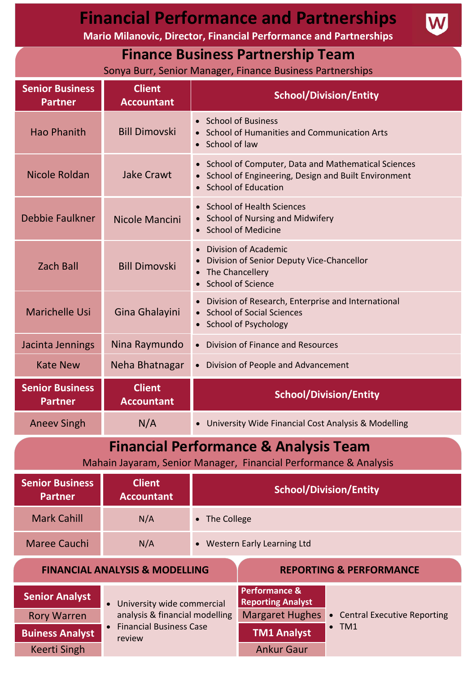| <b>Financial Performance and Partnerships</b><br><b>Mario Milanovic, Director, Financial Performance and Partnerships</b> |                                                                                                                                                                                                                                                                                      |                                                                                                                                        |
|---------------------------------------------------------------------------------------------------------------------------|--------------------------------------------------------------------------------------------------------------------------------------------------------------------------------------------------------------------------------------------------------------------------------------|----------------------------------------------------------------------------------------------------------------------------------------|
| <b>Finance Business Partnership Team</b><br>Sonya Burr, Senior Manager, Finance Business Partnerships                     |                                                                                                                                                                                                                                                                                      |                                                                                                                                        |
| <b>Senior Business</b><br><b>Partner</b>                                                                                  | <b>Client</b><br><b>Accountant</b>                                                                                                                                                                                                                                                   | <b>School/Division/Entity</b>                                                                                                          |
| <b>Hao Phanith</b>                                                                                                        | <b>Bill Dimovski</b>                                                                                                                                                                                                                                                                 | • School of Business<br>• School of Humanities and Communication Arts<br>• School of law                                               |
| Nicole Roldan                                                                                                             | <b>Jake Crawt</b>                                                                                                                                                                                                                                                                    | • School of Computer, Data and Mathematical Sciences<br>• School of Engineering, Design and Built Environment<br>• School of Education |
| Debbie Faulkner                                                                                                           | Nicole Mancini                                                                                                                                                                                                                                                                       | • School of Health Sciences<br>• School of Nursing and Midwifery<br>• School of Medicine                                               |
| <b>Zach Ball</b>                                                                                                          | <b>Bill Dimovski</b>                                                                                                                                                                                                                                                                 | <b>Division of Academic</b><br>• Division of Senior Deputy Vice-Chancellor<br>• The Chancellery<br>• School of Science                 |
| <b>Marichelle Usi</b>                                                                                                     | Gina Ghalayini                                                                                                                                                                                                                                                                       | • Division of Research, Enterprise and International<br>• School of Social Sciences<br>• School of Psychology                          |
| Jacinta Jennings                                                                                                          | Nina Raymundo                                                                                                                                                                                                                                                                        | • Division of Finance and Resources                                                                                                    |
| <b>Kate New</b>                                                                                                           | Neha Bhatnagar                                                                                                                                                                                                                                                                       | • Division of People and Advancement                                                                                                   |
| <b>Senior Business</b><br><b>Partner</b>                                                                                  | <b>Client</b><br><b>Accountant</b>                                                                                                                                                                                                                                                   | <b>School/Division/Entity</b>                                                                                                          |
| <b>Aneev Singh</b>                                                                                                        | N/A                                                                                                                                                                                                                                                                                  | • University Wide Financial Cost Analysis & Modelling                                                                                  |
| <b>Financial Performance &amp; Analysis Team</b><br>Mahain Jayaram, Senior Manager, Financial Performance & Analysis      |                                                                                                                                                                                                                                                                                      |                                                                                                                                        |
| <b>Senior Business</b><br><b>Partner</b>                                                                                  | <b>Client</b><br><b>Accountant</b>                                                                                                                                                                                                                                                   | <b>School/Division/Entity</b>                                                                                                          |
| <b>Mark Cahill</b>                                                                                                        | N/A                                                                                                                                                                                                                                                                                  | • The College                                                                                                                          |
| <b>Maree Cauchi</b>                                                                                                       | N/A                                                                                                                                                                                                                                                                                  | • Western Early Learning Ltd                                                                                                           |
| <b>FINANCIAL ANALYSIS &amp; MODELLING</b><br><b>REPORTING &amp; PERFORMANCE</b>                                           |                                                                                                                                                                                                                                                                                      |                                                                                                                                        |
| <b>Senior Analyst</b><br><b>Rory Warren</b><br><b>Buiness Analyst</b><br><b>Keerti Singh</b>                              | <b>Performance &amp;</b><br><b>Reporting Analyst</b><br>• University wide commercial<br>analysis & financial modelling<br><b>Margaret Hughes</b><br>• Central Executive Reporting<br>• Financial Business Case<br>$\bullet$ TM1<br><b>TM1 Analyst</b><br>review<br><b>Ankur Gaur</b> |                                                                                                                                        |